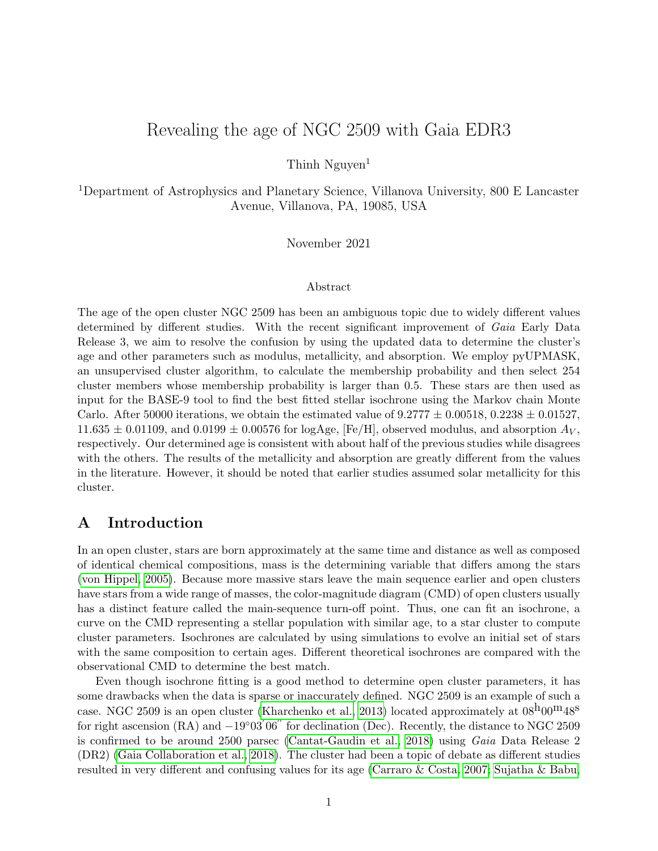# Revealing the age of NGC 2509 with Gaia EDR3

Thinh  $Nguyen<sup>1</sup>$ 

<sup>1</sup>Department of Astrophysics and Planetary Science, Villanova University, 800 E Lancaster Avenue, Villanova, PA, 19085, USA

November 2021

#### Abstract

The age of the open cluster NGC 2509 has been an ambiguous topic due to widely different values determined by different studies. With the recent significant improvement of Gaia Early Data Release 3, we aim to resolve the confusion by using the updated data to determine the cluster's age and other parameters such as modulus, metallicity, and absorption. We employ pyUPMASK, an unsupervised cluster algorithm, to calculate the membership probability and then select 254 cluster members whose membership probability is larger than 0.5. These stars are then used as input for the BASE-9 tool to find the best fitted stellar isochrone using the Markov chain Monte Carlo. After 50000 iterations, we obtain the estimated value of  $9.2777 \pm 0.00518$ ,  $0.2238 \pm 0.01527$ ,  $11.635 \pm 0.01109$ , and  $0.0199 \pm 0.00576$  for logAge, [Fe/H], observed modulus, and absorption  $A_V$ , respectively. Our determined age is consistent with about half of the previous studies while disagrees with the others. The results of the metallicity and absorption are greatly different from the values in the literature. However, it should be noted that earlier studies assumed solar metallicity for this cluster.

# <span id="page-0-0"></span>A Introduction

In an open cluster, stars are born approximately at the same time and distance as well as composed of identical chemical compositions, mass is the determining variable that differs among the stars [\(von Hippel, 2005\)](#page-11-0). Because more massive stars leave the main sequence earlier and open clusters have stars from a wide range of masses, the color-magnitude diagram (CMD) of open clusters usually has a distinct feature called the main-sequence turn-off point. Thus, one can fit an isochrone, a curve on the CMD representing a stellar population with similar age, to a star cluster to compute cluster parameters. Isochrones are calculated by using simulations to evolve an initial set of stars with the same composition to certain ages. Different theoretical isochrones are compared with the observational CMD to determine the best match.

Even though isochrone fitting is a good method to determine open cluster parameters, it has some drawbacks when the data is sparse or inaccurately defined. NGC 2509 is an example of such a case. NGC 2509 is an open cluster [\(Kharchenko et al., 2013\)](#page-11-1) located approximately at  $08^{\text{h}}00^{\text{m}}48^{\text{s}}$ for right ascension  $(RA)$  and  $-19°03'06''$  for declination (Dec). Recently, the distance to NGC 2509 is confirmed to be around 2500 parsec [\(Cantat-Gaudin et al., 2018\)](#page-10-0) using Gaia Data Release 2 (DR2) [\(Gaia Collaboration et al., 2018\)](#page-11-2). The cluster had been a topic of debate as different studies resulted in very different and confusing values for its age [\(Carraro & Costa, 2007;](#page-10-1) [Sujatha & Babu,](#page-11-3)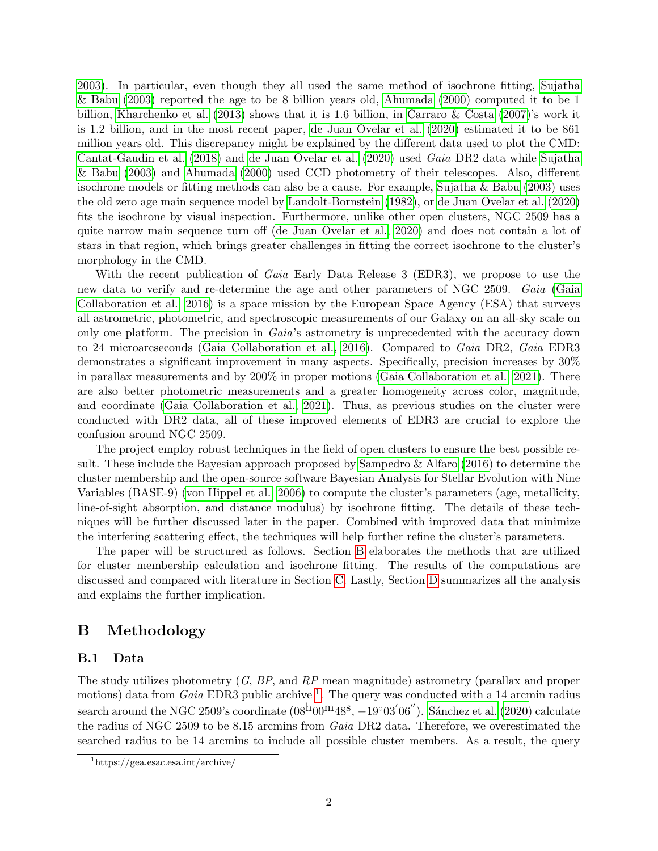[2003\)](#page-11-3). In particular, even though they all used the same method of isochrone fitting, [Sujatha](#page-11-3) [& Babu](#page-11-3) [\(2003\)](#page-11-3) reported the age to be 8 billion years old, [Ahumada](#page-10-2) [\(2000\)](#page-10-2) computed it to be 1 billion, [Kharchenko et al.](#page-11-1) [\(2013\)](#page-11-1) shows that it is 1.6 billion, in [Carraro & Costa](#page-10-1) [\(2007\)](#page-10-1)'s work it is 1.2 billion, and in the most recent paper, [de Juan Ovelar et al.](#page-10-3) [\(2020\)](#page-10-3) estimated it to be 861 million years old. This discrepancy might be explained by the different data used to plot the CMD: [Cantat-Gaudin et al.](#page-10-0) [\(2018\)](#page-10-0) and [de Juan Ovelar et al.](#page-10-3) [\(2020\)](#page-10-3) used Gaia DR2 data while [Sujatha](#page-11-3) [& Babu](#page-11-3) [\(2003\)](#page-11-3) and [Ahumada](#page-10-2) [\(2000\)](#page-10-2) used CCD photometry of their telescopes. Also, different isochrone models or fitting methods can also be a cause. For example, [Sujatha & Babu](#page-11-3) [\(2003\)](#page-11-3) uses the old zero age main sequence model by [Landolt-Bornstein](#page-11-4) [\(1982\)](#page-11-4), or [de Juan Ovelar et al.](#page-10-3) [\(2020\)](#page-10-3) fits the isochrone by visual inspection. Furthermore, unlike other open clusters, NGC 2509 has a quite narrow main sequence turn off [\(de Juan Ovelar et al., 2020\)](#page-10-3) and does not contain a lot of stars in that region, which brings greater challenges in fitting the correct isochrone to the cluster's morphology in the CMD.

With the recent publication of *Gaia* Early Data Release 3 (EDR3), we propose to use the new data to verify and re-determine the age and other parameters of NGC 2509. Gaia [\(Gaia](#page-10-4) [Collaboration et al., 2016\)](#page-10-4) is a space mission by the European Space Agency (ESA) that surveys all astrometric, photometric, and spectroscopic measurements of our Galaxy on an all-sky scale on only one platform. The precision in *Gaia's* astrometry is unprecedented with the accuracy down to 24 microarcseconds [\(Gaia Collaboration et al., 2016\)](#page-10-4). Compared to Gaia DR2, Gaia EDR3 demonstrates a significant improvement in many aspects. Specifically, precision increases by 30% in parallax measurements and by 200% in proper motions [\(Gaia Collaboration et al., 2021\)](#page-11-5). There are also better photometric measurements and a greater homogeneity across color, magnitude, and coordinate [\(Gaia Collaboration et al., 2021\)](#page-11-5). Thus, as previous studies on the cluster were conducted with DR2 data, all of these improved elements of EDR3 are crucial to explore the confusion around NGC 2509.

The project employ robust techniques in the field of open clusters to ensure the best possible result. These include the Bayesian approach proposed by [Sampedro & Alfaro](#page-11-6) [\(2016\)](#page-11-6) to determine the cluster membership and the open-source software Bayesian Analysis for Stellar Evolution with Nine Variables (BASE-9) [\(von Hippel et al., 2006\)](#page-11-7) to compute the cluster's parameters (age, metallicity, line-of-sight absorption, and distance modulus) by isochrone fitting. The details of these techniques will be further discussed later in the paper. Combined with improved data that minimize the interfering scattering effect, the techniques will help further refine the cluster's parameters.

The paper will be structured as follows. Section [B](#page-1-0) elaborates the methods that are utilized for cluster membership calculation and isochrone fitting. The results of the computations are discussed and compared with literature in Section [C.](#page-6-0) Lastly, Section [D](#page-10-5) summarizes all the analysis and explains the further implication.

# <span id="page-1-0"></span>B Methodology

### B.1 Data

The study utilizes photometry  $(G, BP, and RP)$  mean magnitude) astrometry (parallax and proper motions) data from *Gaia* EDR3 public archive <sup>[1](#page-1-1)</sup>. The query was conducted with a 14 arcmin radius search around the NGC 2509's coordinate  $(08^{\text{h}}00^{\text{m}}48^{\text{s}}, -19^{\circ}03'06'')$ . Sánchez et al. [\(2020\)](#page-11-8) calculate the radius of NGC 2509 to be 8.15 arcmins from Gaia DR2 data. Therefore, we overestimated the searched radius to be 14 arcmins to include all possible cluster members. As a result, the query

<span id="page-1-1"></span><sup>1</sup>https://gea.esac.esa.int/archive/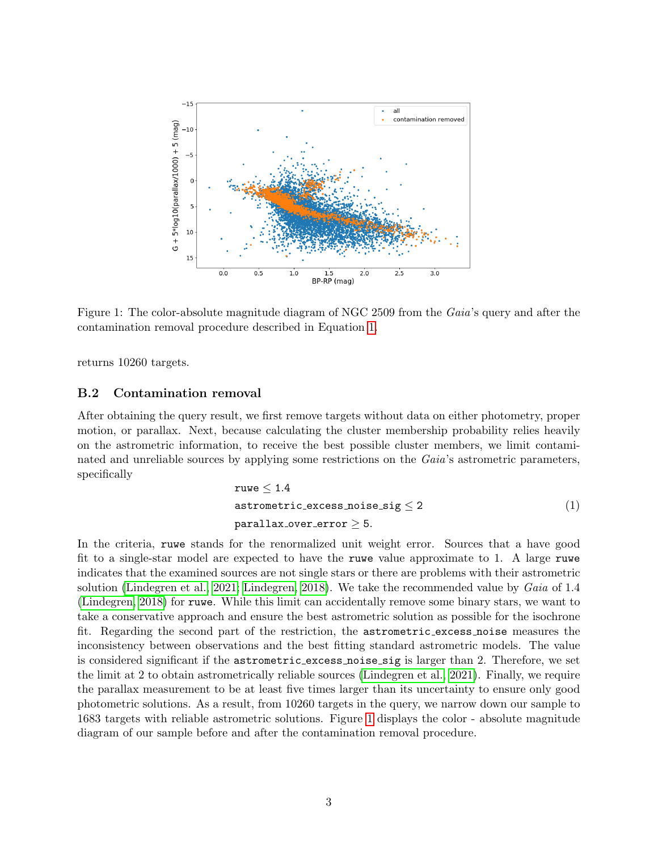

<span id="page-2-1"></span>Figure 1: The color-absolute magnitude diagram of NGC 2509 from the Gaia's query and after the contamination removal procedure described in Equation [1.](#page-2-0)

returns 10260 targets.

#### B.2 Contamination removal

<span id="page-2-0"></span>After obtaining the query result, we first remove targets without data on either photometry, proper motion, or parallax. Next, because calculating the cluster membership probability relies heavily on the astrometric information, to receive the best possible cluster members, we limit contaminated and unreliable sources by applying some restrictions on the Gaia's astrometric parameters, specifically

$$
\begin{aligned}\n\texttt{ruwe} &\leq 1.4 \\
\texttt{astrometric\_excess\_noise\_sig} &\leq 2 \\
\texttt{parallax\_over\_error} &\geq 5.\n\end{aligned}\n\tag{1}
$$

In the criteria, ruwe stands for the renormalized unit weight error. Sources that a have good fit to a single-star model are expected to have the ruwe value approximate to 1. A large ruwe indicates that the examined sources are not single stars or there are problems with their astrometric solution [\(Lindegren et al., 2021;](#page-11-9) [Lindegren, 2018\)](#page-11-10). We take the recommended value by Gaia of 1.4 [\(Lindegren, 2018\)](#page-11-10) for ruwe. While this limit can accidentally remove some binary stars, we want to take a conservative approach and ensure the best astrometric solution as possible for the isochrone fit. Regarding the second part of the restriction, the astrometric excess noise measures the inconsistency between observations and the best fitting standard astrometric models. The value is considered significant if the astrometric excess noise sig is larger than 2. Therefore, we set the limit at 2 to obtain astrometrically reliable sources [\(Lindegren et al., 2021\)](#page-11-9). Finally, we require the parallax measurement to be at least five times larger than its uncertainty to ensure only good photometric solutions. As a result, from 10260 targets in the query, we narrow down our sample to 1683 targets with reliable astrometric solutions. Figure [1](#page-2-1) displays the color - absolute magnitude diagram of our sample before and after the contamination removal procedure.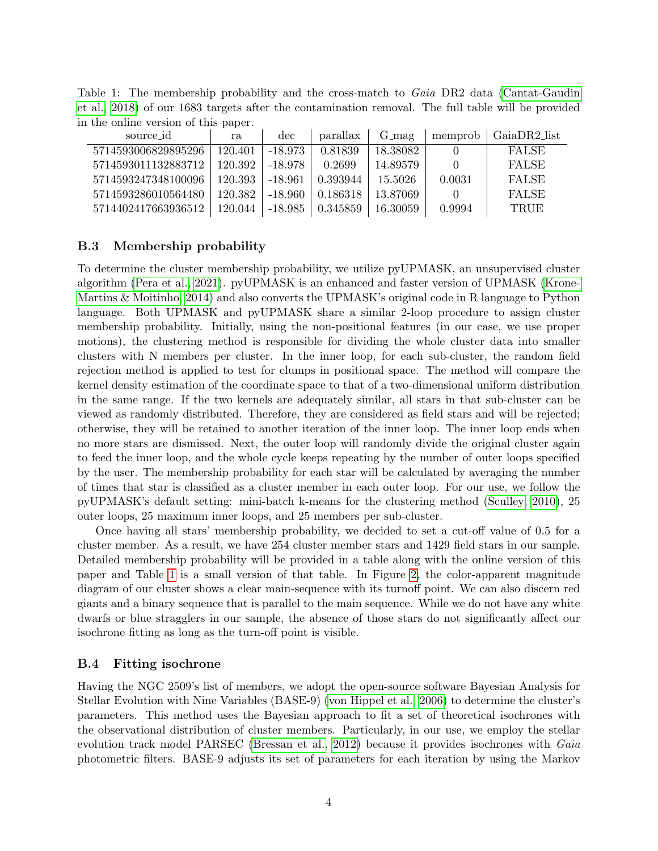<span id="page-3-0"></span>Table 1: The membership probability and the cross-match to Gaia DR2 data [\(Cantat-Gaudin](#page-10-0) [et al., 2018\)](#page-10-0) of our 1683 targets after the contamination removal. The full table will be provided in the online version of this paper.

| source id           | ra      | dec       | parallax | $G_{\text{mag}}$ | memprob  | GaiaDR2_list |
|---------------------|---------|-----------|----------|------------------|----------|--------------|
| 5714593006829895296 | 120.401 | $-18.973$ | 0.81839  | 18.38082         | $\theta$ | <b>FALSE</b> |
| 5714593011132883712 | 120.392 | -18.978   | 0.2699   | 14.89579         |          | <b>FALSE</b> |
| 5714593247348100096 | 120.393 | $-18.961$ | 0.393944 | - 15.5026 -      | 0.0031   | <b>FALSE</b> |
| 5714593286010564480 | 120.382 | $-18.960$ | 0.186318 | -13.87069        |          | <b>FALSE</b> |
| 5714402417663936512 | 120.044 | -18.985   | 0.345859 | -16.30059        | 0.9994   | <b>TRUE</b>  |

### <span id="page-3-1"></span>B.3 Membership probability

To determine the cluster membership probability, we utilize pyUPMASK, an unsupervised cluster algorithm [\(Pera et al., 2021\)](#page-11-11). pyUPMASK is an enhanced and faster version of UPMASK [\(Krone-](#page-11-12)[Martins & Moitinho, 2014\)](#page-11-12) and also converts the UPMASK's original code in R language to Python language. Both UPMASK and pyUPMASK share a similar 2-loop procedure to assign cluster membership probability. Initially, using the non-positional features (in our case, we use proper motions), the clustering method is responsible for dividing the whole cluster data into smaller clusters with N members per cluster. In the inner loop, for each sub-cluster, the random field rejection method is applied to test for clumps in positional space. The method will compare the kernel density estimation of the coordinate space to that of a two-dimensional uniform distribution in the same range. If the two kernels are adequately similar, all stars in that sub-cluster can be viewed as randomly distributed. Therefore, they are considered as field stars and will be rejected; otherwise, they will be retained to another iteration of the inner loop. The inner loop ends when no more stars are dismissed. Next, the outer loop will randomly divide the original cluster again to feed the inner loop, and the whole cycle keeps repeating by the number of outer loops specified by the user. The membership probability for each star will be calculated by averaging the number of times that star is classified as a cluster member in each outer loop. For our use, we follow the pyUPMASK's default setting: mini-batch k-means for the clustering method [\(Sculley, 2010\)](#page-11-13), 25 outer loops, 25 maximum inner loops, and 25 members per sub-cluster.

Once having all stars' membership probability, we decided to set a cut-off value of 0.5 for a cluster member. As a result, we have 254 cluster member stars and 1429 field stars in our sample. Detailed membership probability will be provided in a table along with the online version of this paper and Table [1](#page-3-0) is a small version of that table. In Figure [2,](#page-4-0) the color-apparent magnitude diagram of our cluster shows a clear main-sequence with its turnoff point. We can also discern red giants and a binary sequence that is parallel to the main sequence. While we do not have any white dwarfs or blue stragglers in our sample, the absence of those stars do not significantly affect our isochrone fitting as long as the turn-off point is visible.

### <span id="page-3-2"></span>B.4 Fitting isochrone

Having the NGC 2509's list of members, we adopt the open-source software Bayesian Analysis for Stellar Evolution with Nine Variables (BASE-9) [\(von Hippel et al., 2006\)](#page-11-7) to determine the cluster's parameters. This method uses the Bayesian approach to fit a set of theoretical isochrones with the observational distribution of cluster members. Particularly, in our use, we employ the stellar evolution track model PARSEC [\(Bressan et al., 2012\)](#page-10-6) because it provides isochrones with Gaia photometric filters. BASE-9 adjusts its set of parameters for each iteration by using the Markov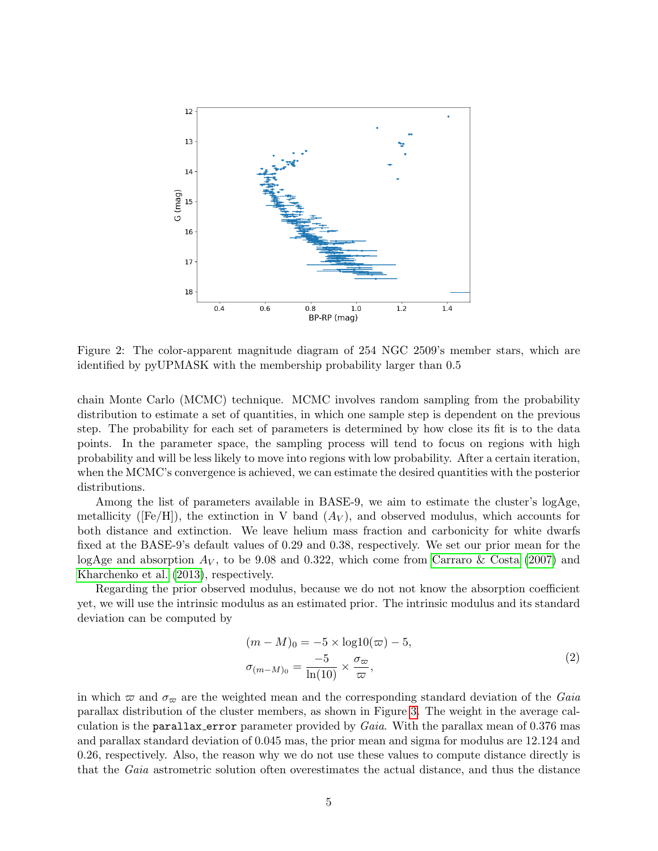

<span id="page-4-0"></span>Figure 2: The color-apparent magnitude diagram of 254 NGC 2509's member stars, which are identified by pyUPMASK with the membership probability larger than 0.5

chain Monte Carlo (MCMC) technique. MCMC involves random sampling from the probability distribution to estimate a set of quantities, in which one sample step is dependent on the previous step. The probability for each set of parameters is determined by how close its fit is to the data points. In the parameter space, the sampling process will tend to focus on regions with high probability and will be less likely to move into regions with low probability. After a certain iteration, when the MCMC's convergence is achieved, we can estimate the desired quantities with the posterior distributions.

Among the list of parameters available in BASE-9, we aim to estimate the cluster's logAge, metallicity ( $[Fe/H]$ ), the extinction in V band  $(A_V)$ , and observed modulus, which accounts for both distance and extinction. We leave helium mass fraction and carbonicity for white dwarfs fixed at the BASE-9's default values of 0.29 and 0.38, respectively. We set our prior mean for the logAge and absorption  $A_V$ , to be 9.08 and 0.322, which come from [Carraro & Costa](#page-10-1) [\(2007\)](#page-10-1) and [Kharchenko et al.](#page-11-1) [\(2013\)](#page-11-1), respectively.

Regarding the prior observed modulus, because we do not not know the absorption coefficient yet, we will use the intrinsic modulus as an estimated prior. The intrinsic modulus and its standard deviation can be computed by

$$
(m-M)_0 = -5 \times \log 10(\varpi) - 5,
$$
  
\n
$$
\sigma_{(m-M)_0} = \frac{-5}{\ln(10)} \times \frac{\sigma_\varpi}{\varpi},
$$
\n(2)

in which  $\varpi$  and  $\sigma_{\varpi}$  are the weighted mean and the corresponding standard deviation of the Gaia parallax distribution of the cluster members, as shown in Figure [3.](#page-5-0) The weight in the average calculation is the parallax error parameter provided by  $Gaia$ . With the parallax mean of 0.376 mas and parallax standard deviation of 0.045 mas, the prior mean and sigma for modulus are 12.124 and 0.26, respectively. Also, the reason why we do not use these values to compute distance directly is that the Gaia astrometric solution often overestimates the actual distance, and thus the distance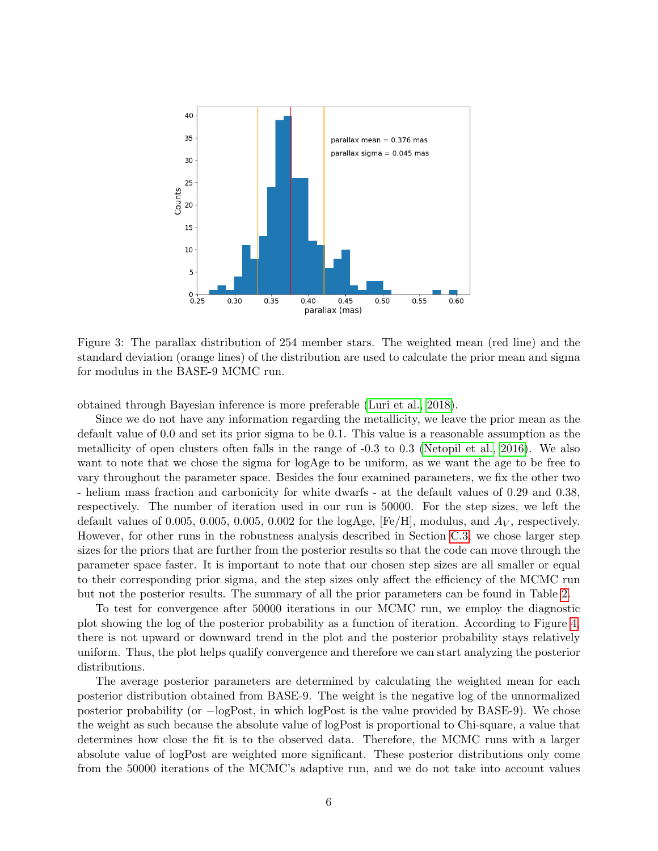

<span id="page-5-0"></span>Figure 3: The parallax distribution of 254 member stars. The weighted mean (red line) and the standard deviation (orange lines) of the distribution are used to calculate the prior mean and sigma for modulus in the BASE-9 MCMC run.

obtained through Bayesian inference is more preferable [\(Luri et al., 2018\)](#page-11-14).

Since we do not have any information regarding the metallicity, we leave the prior mean as the default value of 0.0 and set its prior sigma to be 0.1. This value is a reasonable assumption as the metallicity of open clusters often falls in the range of -0.3 to 0.3 [\(Netopil et al., 2016\)](#page-11-15). We also want to note that we chose the sigma for logAge to be uniform, as we want the age to be free to vary throughout the parameter space. Besides the four examined parameters, we fix the other two - helium mass fraction and carbonicity for white dwarfs - at the default values of 0.29 and 0.38, respectively. The number of iteration used in our run is 50000. For the step sizes, we left the default values of 0.005, 0.005, 0.005, 0.002 for the logAge,  $[Fe/H]$ , modulus, and  $A_V$ , respectively. However, for other runs in the robustness analysis described in Section [C.3,](#page-8-0) we chose larger step sizes for the priors that are further from the posterior results so that the code can move through the parameter space faster. It is important to note that our chosen step sizes are all smaller or equal to their corresponding prior sigma, and the step sizes only affect the efficiency of the MCMC run but not the posterior results. The summary of all the prior parameters can be found in Table [2.](#page-6-1)

To test for convergence after 50000 iterations in our MCMC run, we employ the diagnostic plot showing the log of the posterior probability as a function of iteration. According to Figure [4,](#page-6-2) there is not upward or downward trend in the plot and the posterior probability stays relatively uniform. Thus, the plot helps qualify convergence and therefore we can start analyzing the posterior distributions.

The average posterior parameters are determined by calculating the weighted mean for each posterior distribution obtained from BASE-9. The weight is the negative log of the unnormalized posterior probability (or −logPost, in which logPost is the value provided by BASE-9). We chose the weight as such because the absolute value of logPost is proportional to Chi-square, a value that determines how close the fit is to the observed data. Therefore, the MCMC runs with a larger absolute value of logPost are weighted more significant. These posterior distributions only come from the 50000 iterations of the MCMC's adaptive run, and we do not take into account values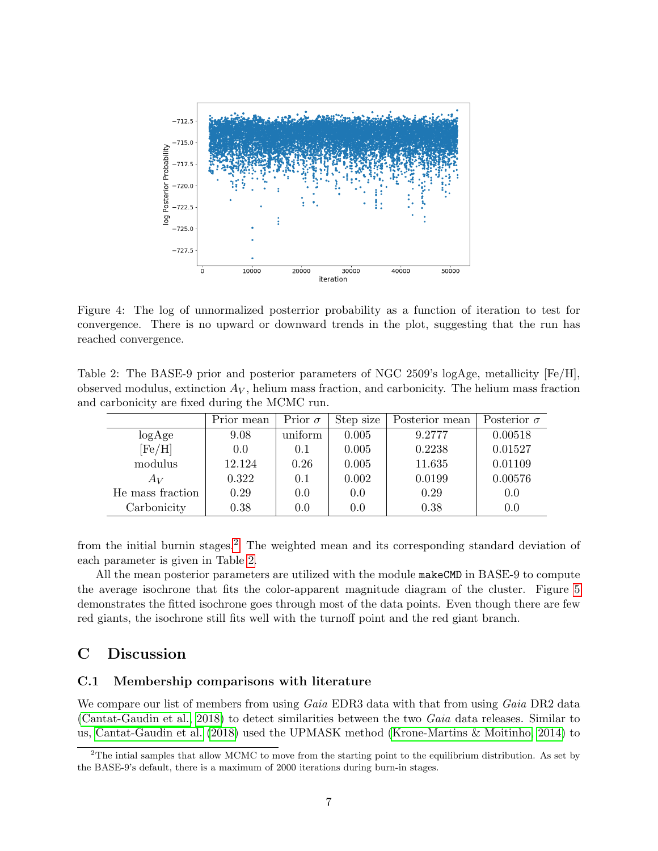

<span id="page-6-2"></span>Figure 4: The log of unnormalized posterrior probability as a function of iteration to test for convergence. There is no upward or downward trends in the plot, suggesting that the run has reached convergence.

<span id="page-6-1"></span>Table 2: The BASE-9 prior and posterior parameters of NGC 2509's logAge, metallicity [Fe/H], observed modulus, extinction  $A_V$ , helium mass fraction, and carbonicity. The helium mass fraction and carbonicity are fixed during the MCMC run.

|                  | Prior mean | Prior $\sigma$ | Step size | Posterior mean | Posterior $\sigma$ |
|------------------|------------|----------------|-----------|----------------|--------------------|
| log Age          | 9.08       | uniform        | 0.005     | 9.2777         | 0.00518            |
| [Fe/H]           | 0.0        | 0.1            | 0.005     | 0.2238         | 0.01527            |
| modulus          | 12.124     | 0.26           | 0.005     | 11.635         | 0.01109            |
| $A_V$            | 0.322      | 0.1            | 0.002     | 0.0199         | 0.00576            |
| He mass fraction | 0.29       | 0.0            | 0.0       | 0.29           | 0.0                |
| Carbonicity      | 0.38       | 0.0            | 0.0       | 0.38           | 0.0                |

from the initial burnin stages.[2](#page-6-3) The weighted mean and its corresponding standard deviation of each parameter is given in Table [2.](#page-6-1)

All the mean posterior parameters are utilized with the module makeCMD in BASE-9 to compute the average isochrone that fits the color-apparent magnitude diagram of the cluster. Figure [5](#page-7-0) demonstrates the fitted isochrone goes through most of the data points. Even though there are few red giants, the isochrone still fits well with the turnoff point and the red giant branch.

## <span id="page-6-0"></span>C Discussion

### C.1 Membership comparisons with literature

We compare our list of members from using Gaia EDR3 data with that from using Gaia DR2 data [\(Cantat-Gaudin et al., 2018\)](#page-10-0) to detect similarities between the two Gaia data releases. Similar to us, [Cantat-Gaudin et al.](#page-10-0) [\(2018\)](#page-10-0) used the UPMASK method [\(Krone-Martins & Moitinho, 2014\)](#page-11-12) to

<span id="page-6-3"></span> $2$ The intial samples that allow MCMC to move from the starting point to the equilibrium distribution. As set by the BASE-9's default, there is a maximum of 2000 iterations during burn-in stages.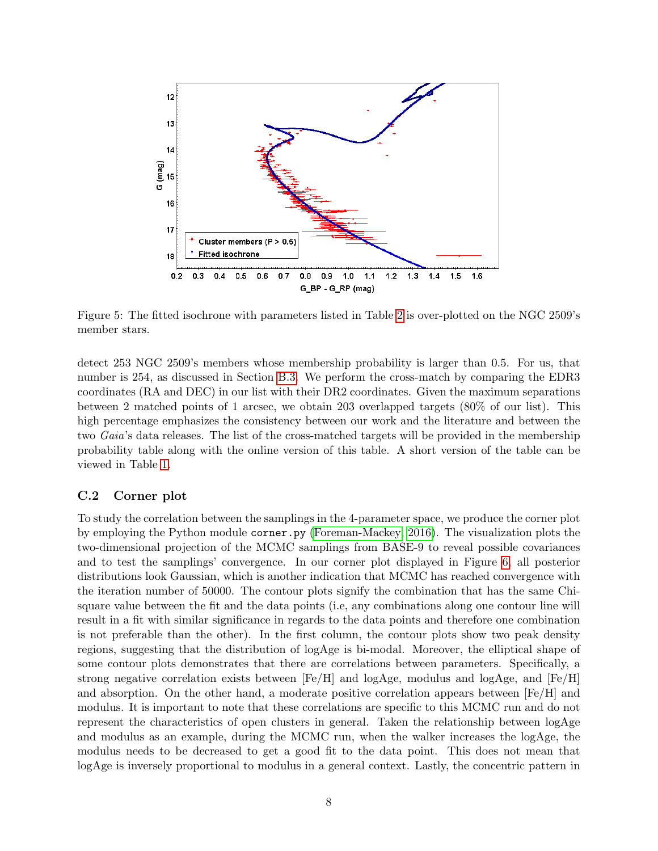

<span id="page-7-0"></span>Figure 5: The fitted isochrone with parameters listed in Table [2](#page-6-1) is over-plotted on the NGC 2509's member stars.

detect 253 NGC 2509's members whose membership probability is larger than 0.5. For us, that number is 254, as discussed in Section [B.3.](#page-3-1) We perform the cross-match by comparing the EDR3 coordinates (RA and DEC) in our list with their DR2 coordinates. Given the maximum separations between 2 matched points of 1 arcsec, we obtain 203 overlapped targets (80% of our list). This high percentage emphasizes the consistency between our work and the literature and between the two Gaia's data releases. The list of the cross-matched targets will be provided in the membership probability table along with the online version of this table. A short version of the table can be viewed in Table [1.](#page-3-0)

### C.2 Corner plot

To study the correlation between the samplings in the 4-parameter space, we produce the corner plot by employing the Python module corner.py [\(Foreman-Mackey, 2016\)](#page-10-7). The visualization plots the two-dimensional projection of the MCMC samplings from BASE-9 to reveal possible covariances and to test the samplings' convergence. In our corner plot displayed in Figure [6,](#page-8-1) all posterior distributions look Gaussian, which is another indication that MCMC has reached convergence with the iteration number of 50000. The contour plots signify the combination that has the same Chisquare value between the fit and the data points (i.e, any combinations along one contour line will result in a fit with similar significance in regards to the data points and therefore one combination is not preferable than the other). In the first column, the contour plots show two peak density regions, suggesting that the distribution of logAge is bi-modal. Moreover, the elliptical shape of some contour plots demonstrates that there are correlations between parameters. Specifically, a strong negative correlation exists between  $[Fe/H]$  and logAge, modulus and logAge, and  $[Fe/H]$ and absorption. On the other hand, a moderate positive correlation appears between  $[Fe/H]$  and modulus. It is important to note that these correlations are specific to this MCMC run and do not represent the characteristics of open clusters in general. Taken the relationship between logAge and modulus as an example, during the MCMC run, when the walker increases the logAge, the modulus needs to be decreased to get a good fit to the data point. This does not mean that logAge is inversely proportional to modulus in a general context. Lastly, the concentric pattern in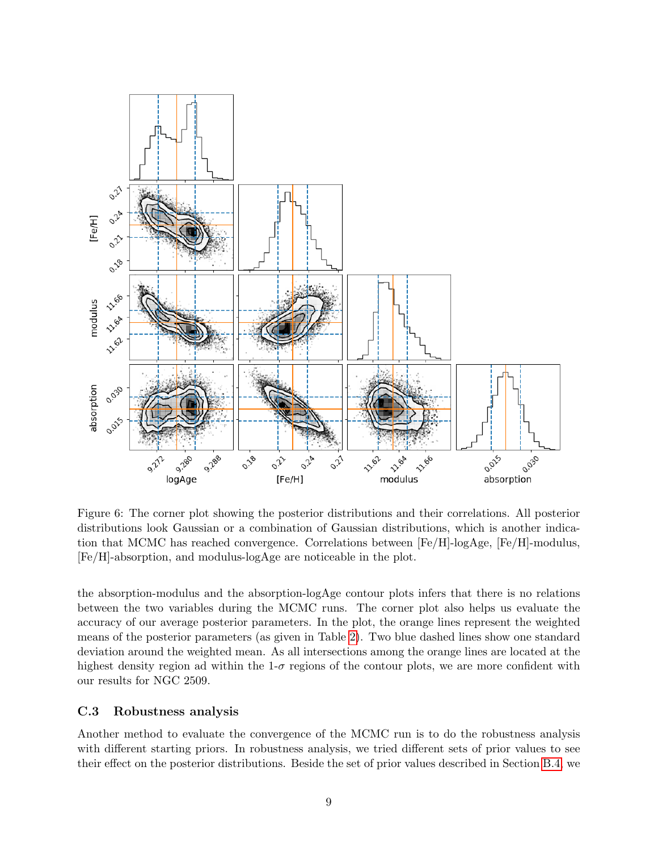

<span id="page-8-1"></span>Figure 6: The corner plot showing the posterior distributions and their correlations. All posterior distributions look Gaussian or a combination of Gaussian distributions, which is another indication that MCMC has reached convergence. Correlations between [Fe/H]-logAge, [Fe/H]-modulus, [Fe/H]-absorption, and modulus-logAge are noticeable in the plot.

the absorption-modulus and the absorption-logAge contour plots infers that there is no relations between the two variables during the MCMC runs. The corner plot also helps us evaluate the accuracy of our average posterior parameters. In the plot, the orange lines represent the weighted means of the posterior parameters (as given in Table [2\)](#page-6-1). Two blue dashed lines show one standard deviation around the weighted mean. As all intersections among the orange lines are located at the highest density region ad within the  $1-\sigma$  regions of the contour plots, we are more confident with our results for NGC 2509.

### <span id="page-8-0"></span>C.3 Robustness analysis

Another method to evaluate the convergence of the MCMC run is to do the robustness analysis with different starting priors. In robustness analysis, we tried different sets of prior values to see their effect on the posterior distributions. Beside the set of prior values described in Section [B.4,](#page-3-2) we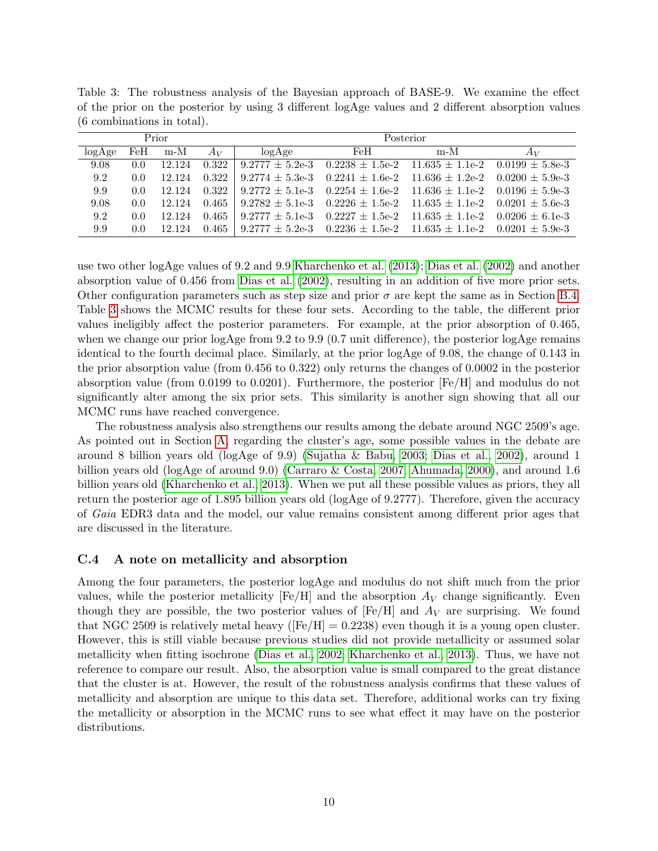| Prior  |               |        |       | Posterior |                                                                                           |     |       |  |  |
|--------|---------------|--------|-------|-----------|-------------------------------------------------------------------------------------------|-----|-------|--|--|
| logAge | FeH           | $m-M$  | $A_V$ | logAee    | FeH                                                                                       | m-M | $A_V$ |  |  |
| 9.08   | 0.0           | 12.124 | 0.322 |           | $9.2777 \pm 5.2$ e-3 $0.2238 \pm 1.5$ e-2 $11.635 \pm 1.1$ e-2 $0.0199 \pm 5.8$ e-3       |     |       |  |  |
| 9.2    | 0.0           | 12.124 | 0.322 |           | $9.2774 \pm 5.3$ e-3 $0.2241 \pm 1.6$ e-2 $11.636 \pm 1.2$ e-2 $0.0200 \pm 5.9$ e-3       |     |       |  |  |
| 9.9    | 0.0           | 12.124 |       |           | $0.322$   $9.2772 \pm 5.1e-3$ $0.2254 \pm 1.6e-2$ $11.636 \pm 1.1e-2$ $0.0196 \pm 5.9e-3$ |     |       |  |  |
| 9.08   | $0.0^{\circ}$ | 12.124 |       |           | $0.465$   $9.2782 \pm 5.1e-3$ $0.2226 \pm 1.5e-2$ $11.635 \pm 1.1e-2$ $0.0201 \pm 5.6e-3$ |     |       |  |  |
| 9.2    | 0.0           | 12.124 | 0.465 |           | $9.2777 \pm 5.1$ e-3 $0.2227 \pm 1.5$ e-2 $11.635 \pm 1.1$ e-2 $0.0206 \pm 6.1$ e-3       |     |       |  |  |
| 9.9    | 0.0           | 12.124 | 0.465 |           | $9.2777 \pm 5.2$ e-3 $0.2236 \pm 1.5$ e-2 $11.635 \pm 1.1$ e-2 $0.0201 \pm 5.9$ e-3       |     |       |  |  |

<span id="page-9-0"></span>Table 3: The robustness analysis of the Bayesian approach of BASE-9. We examine the effect of the prior on the posterior by using 3 different logAge values and 2 different absorption values (6 combinations in total).

use two other logAge values of 9.2 and 9.9 [Kharchenko et al.](#page-11-1) [\(2013\)](#page-11-1); [Dias et al.](#page-10-8) [\(2002\)](#page-10-8) and another absorption value of 0.456 from [Dias et al.](#page-10-8) [\(2002\)](#page-10-8), resulting in an addition of five more prior sets. Other configuration parameters such as step size and prior  $\sigma$  are kept the same as in Section [B.4.](#page-3-2) Table [3](#page-9-0) shows the MCMC results for these four sets. According to the table, the different prior values ineligibly affect the posterior parameters. For example, at the prior absorption of 0.465, when we change our prior logAge from 9.2 to 9.9 (0.7 unit difference), the posterior logAge remains identical to the fourth decimal place. Similarly, at the prior logAge of 9.08, the change of 0.143 in the prior absorption value (from 0.456 to 0.322) only returns the changes of 0.0002 in the posterior absorption value (from 0.0199 to 0.0201). Furthermore, the posterior [Fe/H] and modulus do not significantly alter among the six prior sets. This similarity is another sign showing that all our MCMC runs have reached convergence.

The robustness analysis also strengthens our results among the debate around NGC 2509's age. As pointed out in Section [A,](#page-0-0) regarding the cluster's age, some possible values in the debate are around 8 billion years old (logAge of 9.9) [\(Sujatha & Babu, 2003;](#page-11-3) [Dias et al., 2002\)](#page-10-8), around 1 billion years old (logAge of around 9.0) [\(Carraro & Costa, 2007;](#page-10-1) [Ahumada, 2000\)](#page-10-2), and around 1.6 billion years old [\(Kharchenko et al., 2013\)](#page-11-1). When we put all these possible values as priors, they all return the posterior age of 1.895 billion years old (logAge of 9.2777). Therefore, given the accuracy of Gaia EDR3 data and the model, our value remains consistent among different prior ages that are discussed in the literature.

### C.4 A note on metallicity and absorption

Among the four parameters, the posterior logAge and modulus do not shift much from the prior values, while the posterior metallicity  $[Fe/H]$  and the absorption  $A_V$  change significantly. Even though they are possible, the two posterior values of  $[Fe/H]$  and  $A_V$  are surprising. We found that NGC 2509 is relatively metal heavy ( $[Fe/H] = 0.2238$ ) even though it is a young open cluster. However, this is still viable because previous studies did not provide metallicity or assumed solar metallicity when fitting isochrone [\(Dias et al., 2002;](#page-10-8) [Kharchenko et al., 2013\)](#page-11-1). Thus, we have not reference to compare our result. Also, the absorption value is small compared to the great distance that the cluster is at. However, the result of the robustness analysis confirms that these values of metallicity and absorption are unique to this data set. Therefore, additional works can try fixing the metallicity or absorption in the MCMC runs to see what effect it may have on the posterior distributions.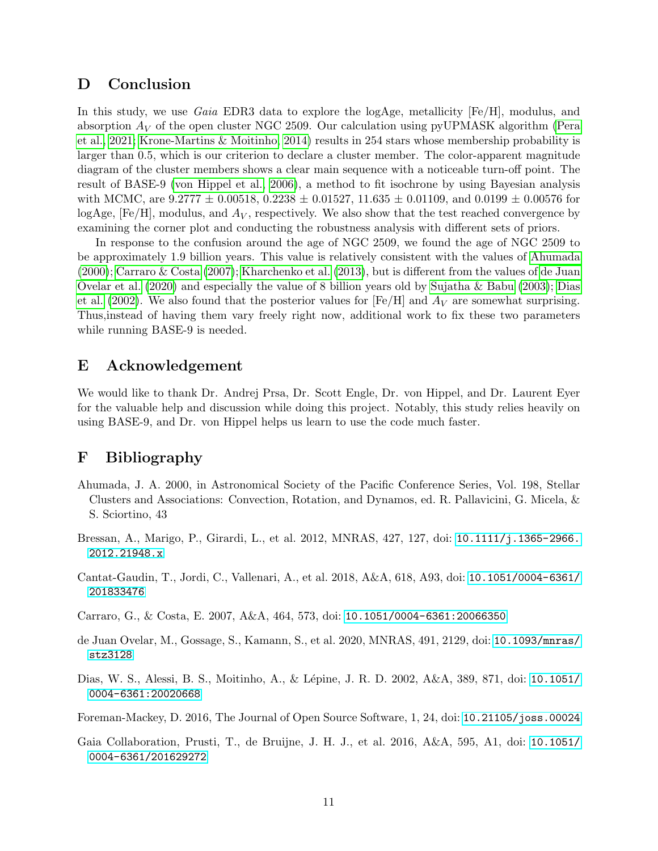## <span id="page-10-5"></span>D Conclusion

In this study, we use Gaia EDR3 data to explore the logAge, metallicity [Fe/H], modulus, and absorption  $A_V$  of the open cluster NGC 2509. Our calculation using pyUPMASK algorithm [\(Pera](#page-11-11) [et al., 2021;](#page-11-11) [Krone-Martins & Moitinho, 2014\)](#page-11-12) results in 254 stars whose membership probability is larger than 0.5, which is our criterion to declare a cluster member. The color-apparent magnitude diagram of the cluster members shows a clear main sequence with a noticeable turn-off point. The result of BASE-9 [\(von Hippel et al., 2006\)](#page-11-7), a method to fit isochrone by using Bayesian analysis with MCMC, are  $9.2777 \pm 0.00518$ ,  $0.2238 \pm 0.01527$ ,  $11.635 \pm 0.01109$ , and  $0.0199 \pm 0.00576$  for logAge,  $[Fe/H]$ , modulus, and  $A_V$ , respectively. We also show that the test reached convergence by examining the corner plot and conducting the robustness analysis with different sets of priors.

In response to the confusion around the age of NGC 2509, we found the age of NGC 2509 to be approximately 1.9 billion years. This value is relatively consistent with the values of [Ahumada](#page-10-2) [\(2000\)](#page-10-2); [Carraro & Costa](#page-10-1) [\(2007\)](#page-10-1); [Kharchenko et al.](#page-11-1) [\(2013\)](#page-11-1), but is different from the values of [de Juan](#page-10-3) [Ovelar et al.](#page-10-3) [\(2020\)](#page-10-3) and especially the value of 8 billion years old by [Sujatha & Babu](#page-11-3) [\(2003\)](#page-11-3); [Dias](#page-10-8) [et al.](#page-10-8) [\(2002\)](#page-10-8). We also found that the posterior values for [Fe/H] and  $A_V$  are somewhat surprising. Thus,instead of having them vary freely right now, additional work to fix these two parameters while running BASE-9 is needed.

## E Acknowledgement

We would like to thank Dr. Andrej Prsa, Dr. Scott Engle, Dr. von Hippel, and Dr. Laurent Eyer for the valuable help and discussion while doing this project. Notably, this study relies heavily on using BASE-9, and Dr. von Hippel helps us learn to use the code much faster.

# F Bibliography

- <span id="page-10-2"></span>Ahumada, J. A. 2000, in Astronomical Society of the Pacific Conference Series, Vol. 198, Stellar Clusters and Associations: Convection, Rotation, and Dynamos, ed. R. Pallavicini, G. Micela, & S. Sciortino, 43
- <span id="page-10-6"></span>Bressan, A., Marigo, P., Girardi, L., et al. 2012, MNRAS, 427, 127, doi: [10.1111/j.1365-2966.](http://doi.org/10.1111/j.1365-2966.2012.21948.x) [2012.21948.x](http://doi.org/10.1111/j.1365-2966.2012.21948.x)
- <span id="page-10-0"></span>Cantat-Gaudin, T., Jordi, C., Vallenari, A., et al. 2018, A&A, 618, A93, doi: [10.1051/0004-6361/](http://doi.org/10.1051/0004-6361/201833476) [201833476](http://doi.org/10.1051/0004-6361/201833476)
- <span id="page-10-1"></span>Carraro, G., & Costa, E. 2007, A&A, 464, 573, doi: [10.1051/0004-6361:20066350](http://doi.org/10.1051/0004-6361:20066350)
- <span id="page-10-3"></span>de Juan Ovelar, M., Gossage, S., Kamann, S., et al. 2020, MNRAS, 491, 2129, doi: [10.1093/mnras/](http://doi.org/10.1093/mnras/stz3128) [stz3128](http://doi.org/10.1093/mnras/stz3128)
- <span id="page-10-8"></span>Dias, W. S., Alessi, B. S., Moitinho, A., & L´epine, J. R. D. 2002, A&A, 389, 871, doi: [10.1051/](http://doi.org/10.1051/0004-6361:20020668) [0004-6361:20020668](http://doi.org/10.1051/0004-6361:20020668)
- <span id="page-10-7"></span>Foreman-Mackey, D. 2016, The Journal of Open Source Software, 1, 24, doi: [10.21105/joss.00024](http://doi.org/10.21105/joss.00024)
- <span id="page-10-4"></span>Gaia Collaboration, Prusti, T., de Bruijne, J. H. J., et al. 2016, A&A, 595, A1, doi: [10.1051/](http://doi.org/10.1051/0004-6361/201629272) [0004-6361/201629272](http://doi.org/10.1051/0004-6361/201629272)